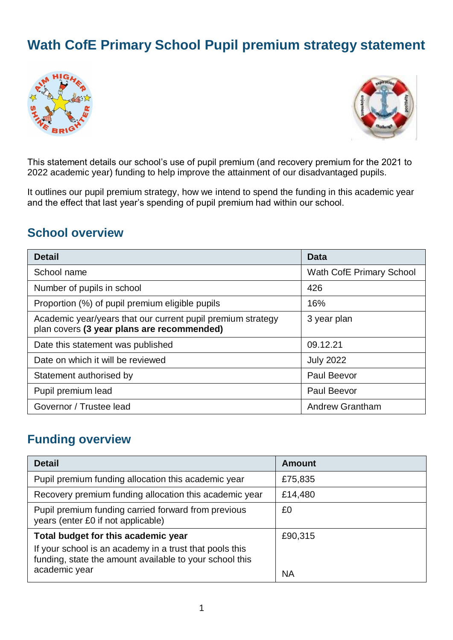# **Wath CofE Primary School Pupil premium strategy statement**





This statement details our school's use of pupil premium (and recovery premium for the 2021 to 2022 academic year) funding to help improve the attainment of our disadvantaged pupils.

It outlines our pupil premium strategy, how we intend to spend the funding in this academic year and the effect that last year's spending of pupil premium had within our school.

### **School overview**

| <b>Detail</b>                                                                                             | <b>Data</b>                     |
|-----------------------------------------------------------------------------------------------------------|---------------------------------|
| School name                                                                                               | <b>Wath CofE Primary School</b> |
| Number of pupils in school                                                                                | 426                             |
| Proportion (%) of pupil premium eligible pupils                                                           | 16%                             |
| Academic year/years that our current pupil premium strategy<br>plan covers (3 year plans are recommended) | 3 year plan                     |
| Date this statement was published                                                                         | 09.12.21                        |
| Date on which it will be reviewed                                                                         | <b>July 2022</b>                |
| Statement authorised by                                                                                   | <b>Paul Beevor</b>              |
| Pupil premium lead                                                                                        | Paul Beevor                     |
| Governor / Trustee lead                                                                                   | <b>Andrew Grantham</b>          |

## **Funding overview**

| <b>Detail</b>                                                                                                      | Amount    |
|--------------------------------------------------------------------------------------------------------------------|-----------|
| Pupil premium funding allocation this academic year                                                                | £75,835   |
| Recovery premium funding allocation this academic year                                                             | £14,480   |
| Pupil premium funding carried forward from previous<br>years (enter £0 if not applicable)                          | £0        |
| Total budget for this academic year                                                                                | £90,315   |
| If your school is an academy in a trust that pools this<br>funding, state the amount available to your school this |           |
| academic year                                                                                                      | <b>NA</b> |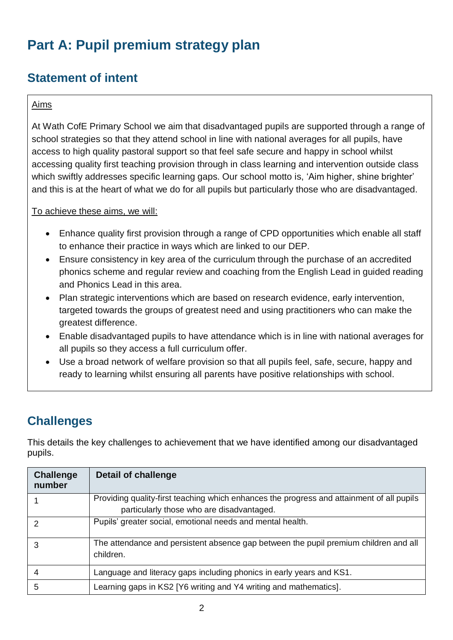# **Part A: Pupil premium strategy plan**

# **Statement of intent**

#### Aims

At Wath CofE Primary School we aim that disadvantaged pupils are supported through a range of school strategies so that they attend school in line with national averages for all pupils, have access to high quality pastoral support so that feel safe secure and happy in school whilst accessing quality first teaching provision through in class learning and intervention outside class which swiftly addresses specific learning gaps. Our school motto is, 'Aim higher, shine brighter' and this is at the heart of what we do for all pupils but particularly those who are disadvantaged.

To achieve these aims, we will:

- Enhance quality first provision through a range of CPD opportunities which enable all staff to enhance their practice in ways which are linked to our DEP.
- Ensure consistency in key area of the curriculum through the purchase of an accredited phonics scheme and regular review and coaching from the English Lead in guided reading and Phonics Lead in this area.
- Plan strategic interventions which are based on research evidence, early intervention, targeted towards the groups of greatest need and using practitioners who can make the greatest difference.
- Enable disadvantaged pupils to have attendance which is in line with national averages for all pupils so they access a full curriculum offer.
- Use a broad network of welfare provision so that all pupils feel, safe, secure, happy and ready to learning whilst ensuring all parents have positive relationships with school.

### **Challenges**

This details the key challenges to achievement that we have identified among our disadvantaged pupils.

| <b>Challenge</b><br>number | Detail of challenge                                                                               |
|----------------------------|---------------------------------------------------------------------------------------------------|
|                            | Providing quality-first teaching which enhances the progress and attainment of all pupils         |
|                            | particularly those who are disadvantaged.                                                         |
| 2                          | Pupils' greater social, emotional needs and mental health.                                        |
| 3                          | The attendance and persistent absence gap between the pupil premium children and all<br>children. |
| 4                          | Language and literacy gaps including phonics in early years and KS1.                              |
| 5                          | Learning gaps in KS2 [Y6 writing and Y4 writing and mathematics].                                 |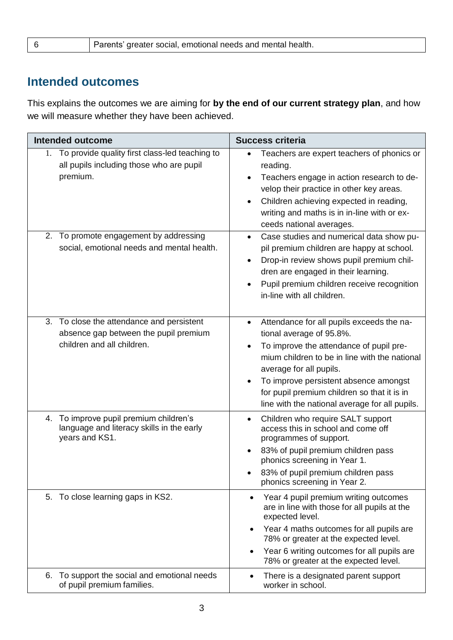## **Intended outcomes**

This explains the outcomes we are aiming for **by the end of our current strategy plan**, and how we will measure whether they have been achieved.

| <b>Intended outcome</b>                                                                                          | <b>Success criteria</b>                                                                                                                                                                                                                                                                                                                                          |  |  |
|------------------------------------------------------------------------------------------------------------------|------------------------------------------------------------------------------------------------------------------------------------------------------------------------------------------------------------------------------------------------------------------------------------------------------------------------------------------------------------------|--|--|
| 1. To provide quality first class-led teaching to<br>all pupils including those who are pupil<br>premium.        | Teachers are expert teachers of phonics or<br>$\bullet$<br>reading.<br>Teachers engage in action research to de-<br>$\bullet$<br>velop their practice in other key areas.<br>Children achieving expected in reading,<br>$\bullet$<br>writing and maths is in in-line with or ex-<br>ceeds national averages.                                                     |  |  |
| 2. To promote engagement by addressing<br>social, emotional needs and mental health.                             | Case studies and numerical data show pu-<br>$\bullet$<br>pil premium children are happy at school.<br>Drop-in review shows pupil premium chil-<br>$\bullet$<br>dren are engaged in their learning.<br>Pupil premium children receive recognition<br>$\bullet$<br>in-line with all children.                                                                      |  |  |
| 3. To close the attendance and persistent<br>absence gap between the pupil premium<br>children and all children. | Attendance for all pupils exceeds the na-<br>$\bullet$<br>tional average of 95.8%.<br>To improve the attendance of pupil pre-<br>mium children to be in line with the national<br>average for all pupils.<br>To improve persistent absence amongst<br>$\bullet$<br>for pupil premium children so that it is in<br>line with the national average for all pupils. |  |  |
| To improve pupil premium children's<br>4.<br>language and literacy skills in the early<br>years and KS1.         | Children who require SALT support<br>$\bullet$<br>access this in school and come off<br>programmes of support.<br>83% of pupil premium children pass<br>phonics screening in Year 1.<br>83% of pupil premium children pass<br>phonics screening in Year 2.                                                                                                       |  |  |
| 5. To close learning gaps in KS2.                                                                                | Year 4 pupil premium writing outcomes<br>$\bullet$<br>are in line with those for all pupils at the<br>expected level.<br>Year 4 maths outcomes for all pupils are<br>78% or greater at the expected level.<br>Year 6 writing outcomes for all pupils are<br>78% or greater at the expected level.                                                                |  |  |
| 6. To support the social and emotional needs<br>of pupil premium families.                                       | There is a designated parent support<br>$\bullet$<br>worker in school.                                                                                                                                                                                                                                                                                           |  |  |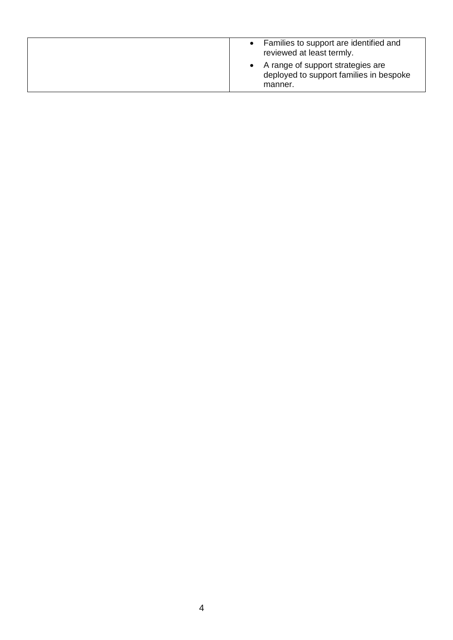| Families to support are identified and<br>reviewed at least termly.                       |
|-------------------------------------------------------------------------------------------|
| • A range of support strategies are<br>deployed to support families in bespoke<br>manner. |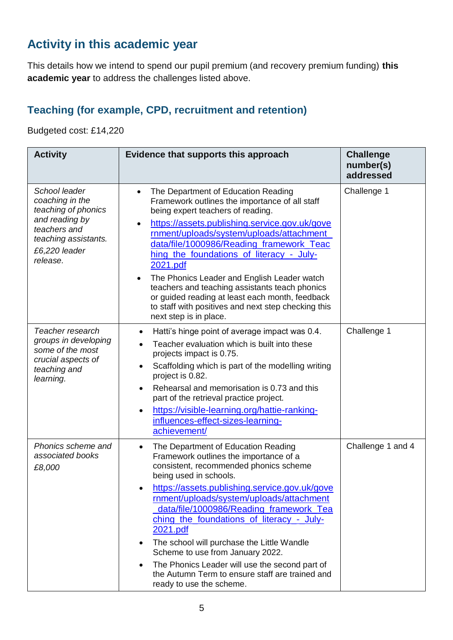## **Activity in this academic year**

This details how we intend to spend our pupil premium (and recovery premium funding) **this academic year** to address the challenges listed above.

#### **Teaching (for example, CPD, recruitment and retention)**

Budgeted cost: £14,220

| <b>Activity</b>                                                                                                                                | Evidence that supports this approach                                                                                                                                                                                                                                                                                                                                                                                                                                                                                                                                                                     | <b>Challenge</b><br>number(s)<br>addressed |
|------------------------------------------------------------------------------------------------------------------------------------------------|----------------------------------------------------------------------------------------------------------------------------------------------------------------------------------------------------------------------------------------------------------------------------------------------------------------------------------------------------------------------------------------------------------------------------------------------------------------------------------------------------------------------------------------------------------------------------------------------------------|--------------------------------------------|
| School leader<br>coaching in the<br>teaching of phonics<br>and reading by<br>teachers and<br>teaching assistants.<br>£6,220 leader<br>release. | The Department of Education Reading<br>$\bullet$<br>Framework outlines the importance of all staff<br>being expert teachers of reading.<br>https://assets.publishing.service.gov.uk/gove<br>$\bullet$<br>rnment/uploads/system/uploads/attachment_<br>data/file/1000986/Reading_framework_Teac<br>hing the foundations of literacy - July-<br>2021.pdf<br>The Phonics Leader and English Leader watch<br>$\bullet$<br>teachers and teaching assistants teach phonics<br>or guided reading at least each month, feedback<br>to staff with positives and next step checking this<br>next step is in place. | Challenge 1                                |
| Teacher research<br>groups in developing<br>some of the most<br>crucial aspects of<br>teaching and<br>learning.                                | Hatti's hinge point of average impact was 0.4.<br>$\bullet$<br>Teacher evaluation which is built into these<br>projects impact is 0.75.<br>Scaffolding which is part of the modelling writing<br>$\bullet$<br>project is 0.82.<br>Rehearsal and memorisation is 0.73 and this<br>part of the retrieval practice project.<br>https://visible-learning.org/hattie-ranking-<br>$\bullet$<br>influences-effect-sizes-learning-<br>achievement/                                                                                                                                                               | Challenge 1                                |
| Phonics scheme and<br>associated books<br>£8,000                                                                                               | The Department of Education Reading<br>$\bullet$<br>Framework outlines the importance of a<br>consistent, recommended phonics scheme<br>being used in schools.<br>https://assets.publishing.service.gov.uk/gove<br>rnment/uploads/system/uploads/attachment<br>data/file/1000986/Reading_framework_Tea<br>ching the foundations of literacy - July-<br>2021.pdf<br>The school will purchase the Little Wandle<br>Scheme to use from January 2022.<br>The Phonics Leader will use the second part of<br>the Autumn Term to ensure staff are trained and<br>ready to use the scheme.                       | Challenge 1 and 4                          |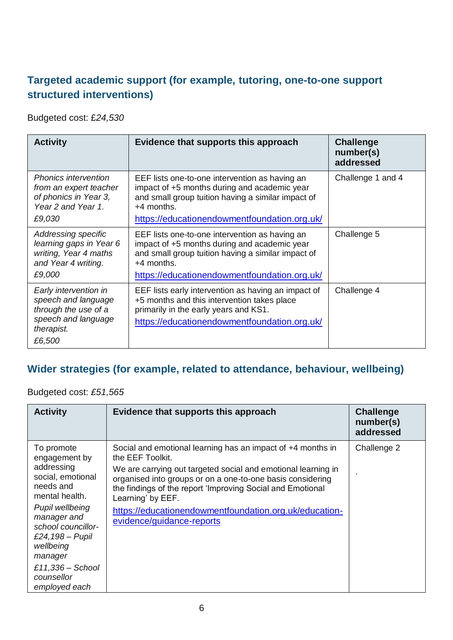### **Targeted academic support (for example, tutoring, one-to-one support structured interventions)**

Budgeted cost: £*24,530*

| <b>Activity</b>                                                                                                     | Evidence that supports this approach                                                                                                                                                                                 | <b>Challenge</b><br>number(s)<br>addressed |
|---------------------------------------------------------------------------------------------------------------------|----------------------------------------------------------------------------------------------------------------------------------------------------------------------------------------------------------------------|--------------------------------------------|
| <b>Phonics intervention</b><br>from an expert teacher<br>of phonics in Year 3,<br>Year 2 and Year 1.<br>£9,030      | EEF lists one-to-one intervention as having an<br>impact of +5 months during and academic year<br>and small group tuition having a similar impact of<br>$+4$ months.<br>https://educationendowmentfoundation.org.uk/ | Challenge 1 and 4                          |
| Addressing specific<br>learning gaps in Year 6<br>writing, Year 4 maths<br>and Year 4 writing.<br>£9,000            | EEF lists one-to-one intervention as having an<br>impact of +5 months during and academic year<br>and small group tuition having a similar impact of<br>$+4$ months.<br>https://educationendowmentfoundation.org.uk/ | Challenge 5                                |
| Early intervention in<br>speech and language<br>through the use of a<br>speech and language<br>therapist.<br>£6,500 | EEF lists early intervention as having an impact of<br>+5 months and this intervention takes place<br>primarily in the early years and KS1.<br>https://educationendowmentfoundation.org.uk/                          | Challenge 4                                |

#### **Wider strategies (for example, related to attendance, behaviour, wellbeing)**

Budgeted cost: *£51,565*

| <b>Activity</b>                                                                                 | Evidence that supports this approach                                                                                                                                                                           | <b>Challenge</b><br>number(s)<br>addressed |
|-------------------------------------------------------------------------------------------------|----------------------------------------------------------------------------------------------------------------------------------------------------------------------------------------------------------------|--------------------------------------------|
| To promote<br>engagement by                                                                     | Social and emotional learning has an impact of +4 months in<br>the EEF Toolkit.                                                                                                                                | Challenge 2                                |
| addressing<br>social, emotional<br>needs and<br>mental health.                                  | We are carrying out targeted social and emotional learning in<br>organised into groups or on a one-to-one basis considering<br>the findings of the report 'Improving Social and Emotional<br>Learning' by EEF. |                                            |
| Pupil wellbeing<br>manager and<br>school councillor-<br>£24,198 - Pupil<br>wellbeing<br>manager | https://educationendowmentfoundation.org.uk/education-<br>evidence/guidance-reports                                                                                                                            |                                            |
| $£11,336 - School$<br>counsellor<br>employed each                                               |                                                                                                                                                                                                                |                                            |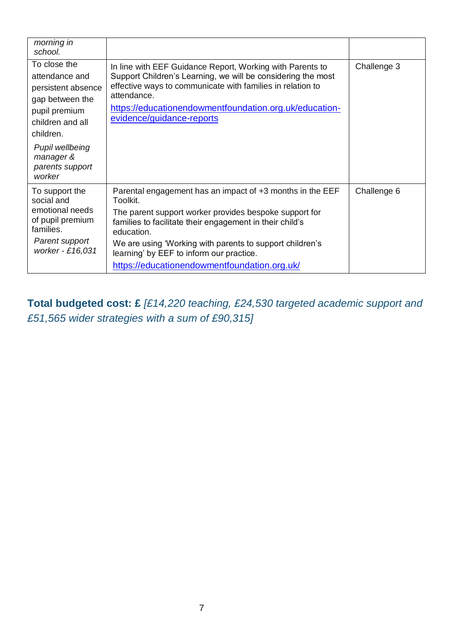| morning in<br>school.                                                                                                                                                                  |                                                                                                                                                                                                                                                                                                                                                                   |             |
|----------------------------------------------------------------------------------------------------------------------------------------------------------------------------------------|-------------------------------------------------------------------------------------------------------------------------------------------------------------------------------------------------------------------------------------------------------------------------------------------------------------------------------------------------------------------|-------------|
| To close the<br>attendance and<br>persistent absence<br>gap between the<br>pupil premium<br>children and all<br>children.<br>Pupil wellbeing<br>manager &<br>parents support<br>worker | In line with EEF Guidance Report, Working with Parents to<br>Support Children's Learning, we will be considering the most<br>effective ways to communicate with families in relation to<br>attendance.<br>https://educationendowmentfoundation.org.uk/education-<br>evidence/guidance-reports                                                                     | Challenge 3 |
| To support the<br>social and<br>emotional needs<br>of pupil premium<br>families.<br>Parent support<br>worker - £16,031                                                                 | Parental engagement has an impact of +3 months in the EEF<br>Toolkit.<br>The parent support worker provides bespoke support for<br>families to facilitate their engagement in their child's<br>education.<br>We are using 'Working with parents to support children's<br>learning' by EEF to inform our practice.<br>https://educationendowmentfoundation.org.uk/ | Challenge 6 |

**Total budgeted cost: £** *[£14,220 teaching, £24,530 targeted academic support and £51,565 wider strategies with a sum of £90,315]*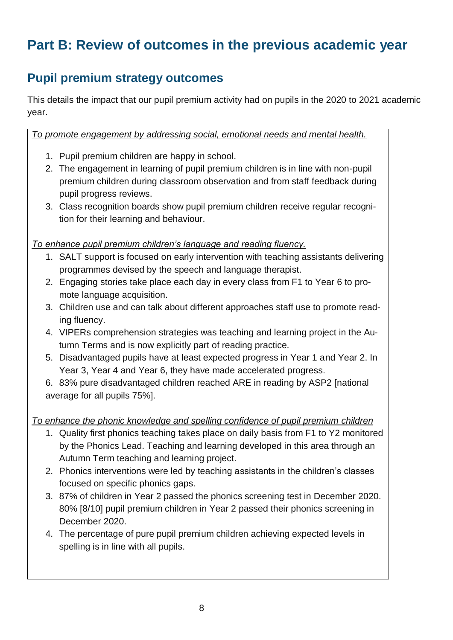# **Part B: Review of outcomes in the previous academic year**

## **Pupil premium strategy outcomes**

This details the impact that our pupil premium activity had on pupils in the 2020 to 2021 academic year.

*To promote engagement by addressing social, emotional needs and mental health.* 

- 1. Pupil premium children are happy in school.
- 2. The engagement in learning of pupil premium children is in line with non-pupil premium children during classroom observation and from staff feedback during pupil progress reviews.
- 3. Class recognition boards show pupil premium children receive regular recognition for their learning and behaviour.

*To enhance pupil premium children's language and reading fluency.* 

- 1. SALT support is focused on early intervention with teaching assistants delivering programmes devised by the speech and language therapist.
- 2. Engaging stories take place each day in every class from F1 to Year 6 to promote language acquisition.
- 3. Children use and can talk about different approaches staff use to promote reading fluency.
- 4. VIPERs comprehension strategies was teaching and learning project in the Autumn Terms and is now explicitly part of reading practice.
- 5. Disadvantaged pupils have at least expected progress in Year 1 and Year 2. In Year 3, Year 4 and Year 6, they have made accelerated progress.
- 6. 83% pure disadvantaged children reached ARE in reading by ASP2 [national average for all pupils 75%].

#### *To enhance the phonic knowledge and spelling confidence of pupil premium children*

- 1. Quality first phonics teaching takes place on daily basis from F1 to Y2 monitored by the Phonics Lead. Teaching and learning developed in this area through an Autumn Term teaching and learning project.
- 2. Phonics interventions were led by teaching assistants in the children's classes focused on specific phonics gaps.
- 3. 87% of children in Year 2 passed the phonics screening test in December 2020. 80% [8/10] pupil premium children in Year 2 passed their phonics screening in December 2020.
- 4. The percentage of pure pupil premium children achieving expected levels in spelling is in line with all pupils.